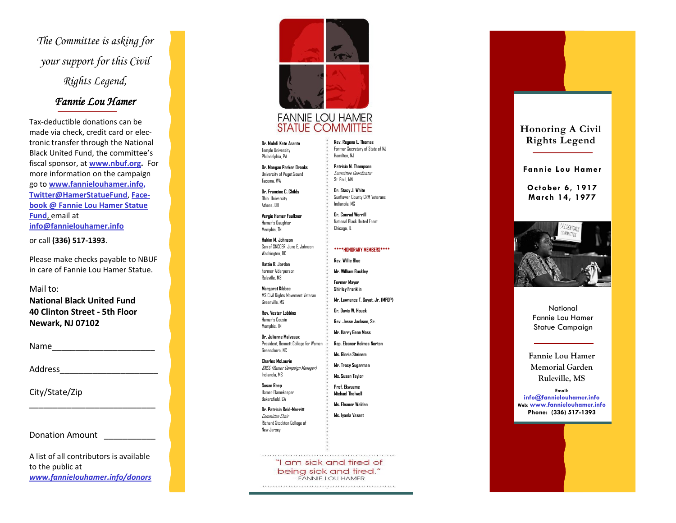*The Committee is asking for your support for this Civil Rights Legend,* 

## *Fannie Lou Hamer*

Tax -deductible donations can be made via check, credit card or electronic transfer through the National Black United Fund, the committee's fiscal sponsor, at **[www.nbuf.org](http://www.nbuf.org) .** For more information on the campaign go to **[www.fannielouhamer.info](http://www.fannielouhamer.info/) , [Twitter@HamerStatueFund](mailto:Twitter@HamerStatueFund)**, **Facebook @ Fannie Lou Hamer Statue Fund**, email at **[info@fannielouhamer.info](mailto:info@fannielouhamer.info)**

or call **(336) 517 -1393** .

Please make checks payable to NBUF in care of Fannie Lou Hamer Statue.

Mail to:

**National Black United Fund 40 Clinton Street - 5th Floor Newark, NJ 07102**

 $Name$ 

Address\_\_\_\_\_\_\_\_\_\_\_\_\_\_\_\_\_\_\_\_\_

City/State/Zip

Donation Amount \_\_\_\_\_\_\_\_\_\_\_

A list of all contributors is available to the public at *www.fannielouhamer.info/donors*

\_\_\_\_\_\_\_\_\_\_\_\_\_\_\_\_\_\_\_\_\_\_\_\_\_\_\_



## **FANNIE LOU HAMER STATUE COMMITTEE**

**Dr. Molefi Kete Asante**  Temple University Philadelphia, PA

**Dr. Maegan Parker Brooks**  University of Puget Sound

Tacoma, WA

**Dr. Francine C. Childs**  Ohio University Athens, OH

**Vergie Hamer Faulkner**  Hamer's Daughter Memphis, TN

**Hakim M. Johnson**  Son of SNCCER, June E. Johnson Washington, DC

**Hattie R. Jordan**  Former Alderperson Ruleville, MS

**Margaret Kibbee**  MS Civil Rights Movement Veteran Greenville, MS

**Rev. Vester Lobbins**  Hamer's Cousin Memphis, TN

**Dr. Julianne Malveaux**  President, Bennett College for Women Greensboro, NC

**Charles McLaurin**  SNCC (Hamer Campaign Manager) Indianola, MS

**Susan Reep**  Hamer Flamekeeper Bakersfield, CA

**Dr. Patricia Reid -Merritt**  Committee Chair Richard Stockton College of New Jersey

> "I am sick and tired of being sick and tired." - FANNIE LOU HAMER

**Rev. Regena L. Thomas**  Former Secretary of State of NJ Hamilton, NJ

**Patricia M. Thompson**  Committee Coordinator St. Paul, MN

> **Dr. Stacy J. White**  Sunflower County CRM Veterans Indianola, MS

**Dr. Conrad Worrill**  National Black United Front Chicago, IL

**\*\*\*\*HONORARY MEMBERS\*\*\*\***

**Rev. Willie Blue Mr. William Buckley**

**Former Mayor Shirley Franklin**

**Mr. Lawrence T. Guyot, Jr. (MFDP)**

**Dr. Davis W. Houck Rev. Jesse Jackson, Sr.**

**Mr. Harry Gene Moss**

**Rep. Eleanor Holmes Norton**

**Ms. Gloria Steinem**

**Mr. Tracy Sugarman Ms. Susan Taylor**

**Prof. Ekwueme Michael Thelwell**

**Ms. Eleanor Walden**

**Ms. Iyanla Vazant**

**Honoring A Civil Rights Legend**

**Fannie Lou Hamer**

**October 6, 1917 March 14, 1977**



**National** Fannie Lou Hamer Statue Campaign

**Fannie Lou Hamer Memorial Garden Ruleville, MS**

**Email: info@fannielouhamer.info Web: www.fannielouhamer.info Phone: (336) 517 -1393**